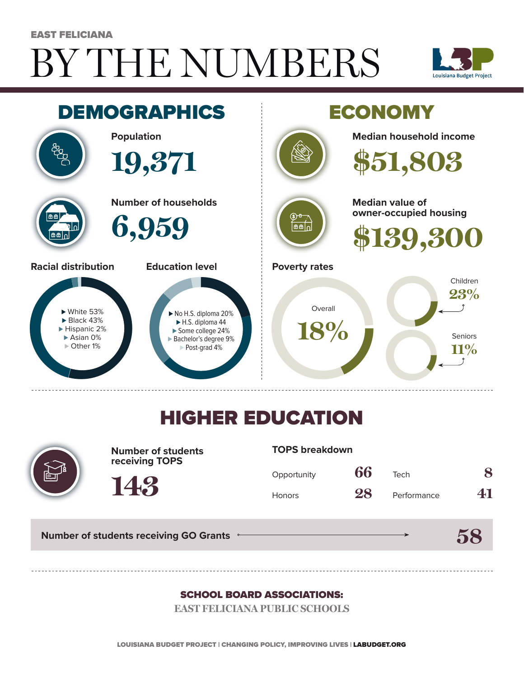# BY THE NUMBERS EAST FELICIANA





## HIGHER EDUCATION



**Number of students receiving TOPS**

#### **TOPS breakdown**

| Opportunity   | 66 | Tech        | 8  |
|---------------|----|-------------|----|
| <b>Honors</b> | 28 | Performance | 41 |

**58**

**Number of students receiving GO Grants**

**143**

#### SCHOOL BOARD ASSOCIATIONS:

**EAST FELICIANA PUBLIC SCHOOLS**